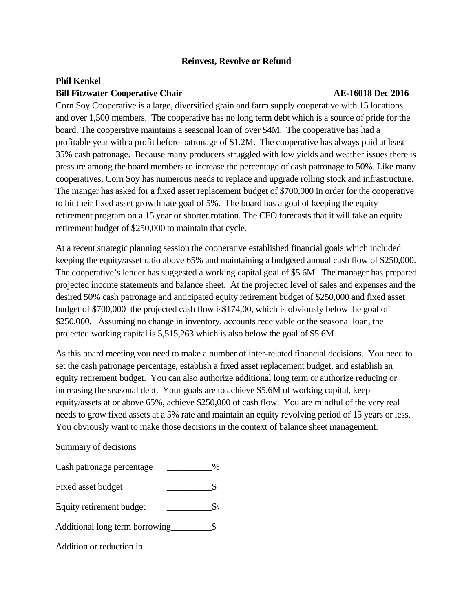## **Reinvest, Revolve or Refund**

# **Phil Kenkel Bill Fitzwater Cooperative Chair AE-16018 Dec 2016**

Corn Soy Cooperative is a large, diversified grain and farm supply cooperative with 15 locations and over 1,500 members. The cooperative has no long term debt which is a source of pride for the board. The cooperative maintains a seasonal loan of over \$4M. The cooperative has had a profitable year with a profit before patronage of \$1.2M. The cooperative has always paid at least 35% cash patronage. Because many producers struggled with low yields and weather issues there is pressure among the board members to increase the percentage of cash patronage to 50%. Like many cooperatives, Corn Soy has numerous needs to replace and upgrade rolling stock and infrastructure. The manger has asked for a fixed asset replacement budget of \$700,000 in order for the cooperative to hit their fixed asset growth rate goal of 5%. The board has a goal of keeping the equity retirement program on a 15 year or shorter rotation. The CFO forecasts that it will take an equity retirement budget of \$250,000 to maintain that cycle.

At a recent strategic planning session the cooperative established financial goals which included keeping the equity/asset ratio above 65% and maintaining a budgeted annual cash flow of \$250,000. The cooperative's lender has suggested a working capital goal of \$5.6M. The manager has prepared projected income statements and balance sheet. At the projected level of sales and expenses and the desired 50% cash patronage and anticipated equity retirement budget of \$250,000 and fixed asset budget of \$700,000 the projected cash flow is\$174,00, which is obviously below the goal of \$250,000. Assuming no change in inventory, accounts receivable or the seasonal loan, the projected working capital is 5,515,263 which is also below the goal of \$5.6M.

As this board meeting you need to make a number of inter-related financial decisions. You need to set the cash patronage percentage, establish a fixed asset replacement budget, and establish an equity retirement budget. You can also authorize additional long term or authorize reducing or increasing the seasonal debt. Your goals are to achieve \$5.6M of working capital, keep equity/assets at or above 65%, achieve \$250,000 of cash flow. You are mindful of the very real needs to grow fixed assets at a 5% rate and maintain an equity revolving period of 15 years or less. You obviously want to make those decisions in the context of balance sheet management.

## Summary of decisions

| Cash patronage percentage |  |
|---------------------------|--|
|---------------------------|--|

- Fixed asset budget \_\_\_\_\_\_\_\_\_\_\$
- Equity retirement budget  $\qquad \qquad \qquad \text{S}\$
- Additional long term borrowing\_\_\_\_\_\_\_\_\_\$
- Addition or reduction in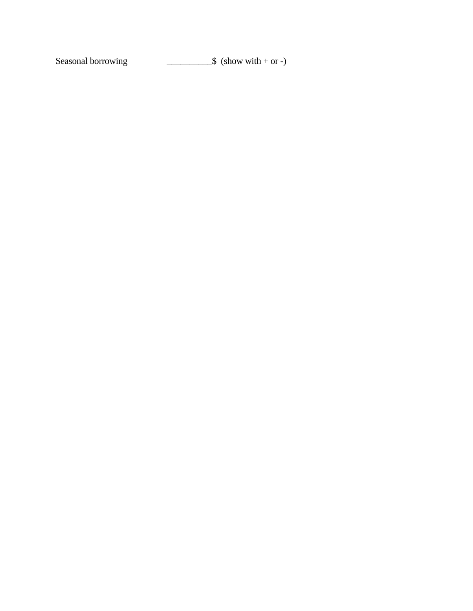Seasonal borrowing  $\qquad \qquad \qquad$  \$ (show with + or -)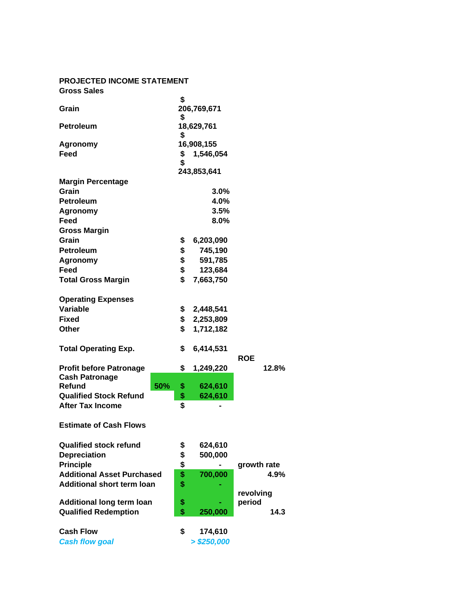### **PROJECTED INCOME STATEMENT Gross Sales**

| Grain                             |     | \$<br>206,769,671 |             |             |       |
|-----------------------------------|-----|-------------------|-------------|-------------|-------|
| <b>Petroleum</b>                  |     | \$<br>18,629,761  |             |             |       |
|                                   |     | \$                |             |             |       |
| <b>Agronomy</b>                   |     | 16,908,155        |             |             |       |
| Feed                              |     | \$                | 1,546,054   |             |       |
|                                   |     | \$                | 243,853,641 |             |       |
| <b>Margin Percentage</b>          |     |                   |             |             |       |
| Grain                             |     |                   | 3.0%        |             |       |
| <b>Petroleum</b>                  |     |                   | 4.0%        |             |       |
| <b>Agronomy</b>                   |     |                   | 3.5%        |             |       |
| Feed                              |     |                   | 8.0%        |             |       |
| <b>Gross Margin</b>               |     |                   |             |             |       |
| Grain                             |     | \$                | 6,203,090   |             |       |
| <b>Petroleum</b>                  |     | \$                | 745,190     |             |       |
| <b>Agronomy</b>                   |     | \$                | 591,785     |             |       |
| Feed                              |     | \$                | 123,684     |             |       |
| <b>Total Gross Margin</b>         |     | \$                | 7,663,750   |             |       |
| <b>Operating Expenses</b>         |     |                   |             |             |       |
| <b>Variable</b>                   |     | \$                | 2,448,541   |             |       |
| Fixed                             |     | \$                | 2,253,809   |             |       |
| <b>Other</b>                      |     | \$                | 1,712,182   |             |       |
| <b>Total Operating Exp.</b>       |     | \$                | 6,414,531   |             |       |
| <b>Profit before Patronage</b>    |     | \$                | 1,249,220   | <b>ROE</b>  | 12.8% |
| <b>Cash Patronage</b>             |     |                   |             |             |       |
| <b>Refund</b>                     | 50% | \$                | 624,610     |             |       |
| <b>Qualified Stock Refund</b>     |     | \$                | 624,610     |             |       |
| <b>After Tax Income</b>           |     | \$                |             |             |       |
| <b>Estimate of Cash Flows</b>     |     |                   |             |             |       |
| <b>Qualified stock refund</b>     |     | \$                | 624,610     |             |       |
| <b>Depreciation</b>               |     | \$                | 500,000     |             |       |
| <b>Principle</b>                  |     | \$                |             | growth rate |       |
| <b>Additional Asset Purchased</b> |     | \$                | 700,000     |             | 4.9%  |
| <b>Additional short term loan</b> |     | \$                |             |             |       |
|                                   |     |                   |             | revolving   |       |
| <b>Additional long term loan</b>  |     | \$<br>\$          |             | period      |       |
| <b>Qualified Redemption</b>       |     |                   | 250,000     |             | 14.3  |
| <b>Cash Flow</b>                  |     | \$                | 174,610     |             |       |
| <b>Cash flow goal</b>             |     | > \$250,000       |             |             |       |
|                                   |     |                   |             |             |       |